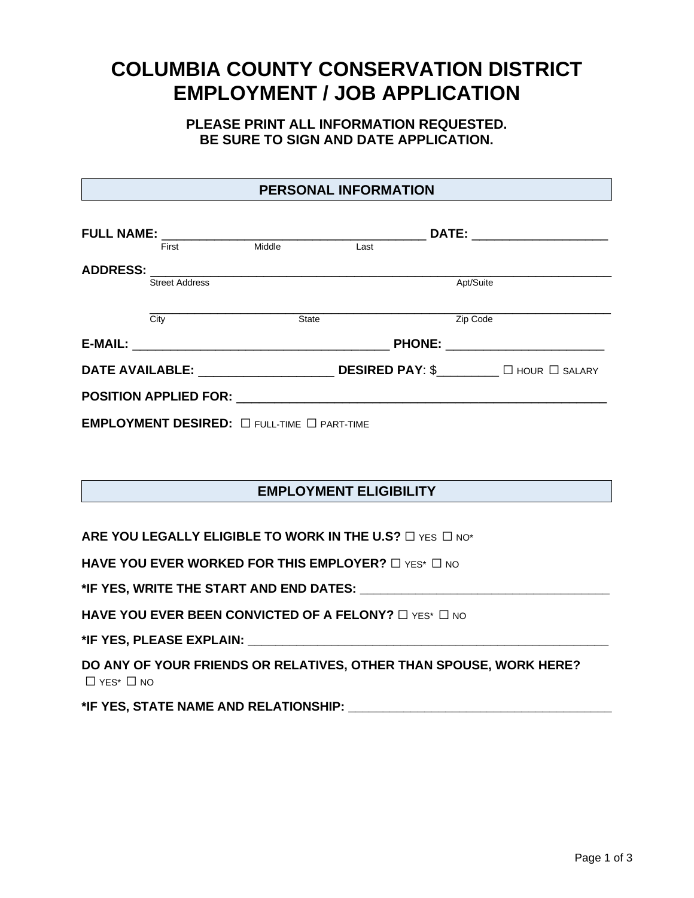# **COLUMBIA COUNTY CONSERVATION DISTRICT EMPLOYMENT / JOB APPLICATION**

## **PLEASE PRINT ALL INFORMATION REQUESTED. BE SURE TO SIGN AND DATE APPLICATION.**

## **PERSONAL INFORMATION**

|                                                                                                                |                       |                                                       | DATE: _______________________ |                                        |  |
|----------------------------------------------------------------------------------------------------------------|-----------------------|-------------------------------------------------------|-------------------------------|----------------------------------------|--|
|                                                                                                                | First                 | Middle                                                | Last                          |                                        |  |
| <b>ADDRESS:</b>                                                                                                |                       |                                                       |                               |                                        |  |
|                                                                                                                | <b>Street Address</b> |                                                       |                               | Apt/Suite                              |  |
|                                                                                                                | City                  | <b>State</b>                                          |                               | Zip Code                               |  |
|                                                                                                                |                       |                                                       |                               | PHONE: _______________________         |  |
| DATE AVAILABLE: THE STATE OF THE STATE OF THE STATE OF THE STATE OF THE STATE OF THE STATE OF THE STATE OF THE |                       |                                                       |                               | <b>DESIRED PAY: \$</b> □ HOUR □ SALARY |  |
|                                                                                                                |                       |                                                       |                               |                                        |  |
|                                                                                                                |                       | EMPLOYMENT DESIRED: $\Box$ full-time $\Box$ part-time |                               |                                        |  |

# **EMPLOYMENT ELIGIBILITY**

**ARE YOU LEGALLY ELIGIBLE TO WORK IN THE U.S?** □ YES □ NO\*

**HAVE YOU EVER WORKED FOR THIS EMPLOYER?** □ YES<sup>\*</sup> □ NO

**\*IF YES, WRITE THE START AND END DATES: \_\_\_\_\_\_\_\_\_\_\_\_\_\_\_\_\_\_\_\_\_\_\_\_\_\_\_\_\_\_\_\_\_\_\_\_**

**HAVE YOU EVER BEEN CONVICTED OF A FELONY?** □ YES<sup>\*</sup> □ NO

**\*IF YES, PLEASE EXPLAIN: \_\_\_\_\_\_\_\_\_\_\_\_\_\_\_\_\_\_\_\_\_\_\_\_\_\_\_\_\_\_\_\_\_\_\_\_\_\_\_\_\_\_\_\_\_\_\_\_\_\_\_\_**

**DO ANY OF YOUR FRIENDS OR RELATIVES, OTHER THAN SPOUSE, WORK HERE?** ☐ YES\* ☐ NO

**\*IF YES, STATE NAME AND RELATIONSHIP: \_\_\_\_\_\_\_\_\_\_\_\_\_\_\_\_\_\_\_\_\_\_\_\_\_\_\_\_\_\_\_\_\_\_\_\_\_\_**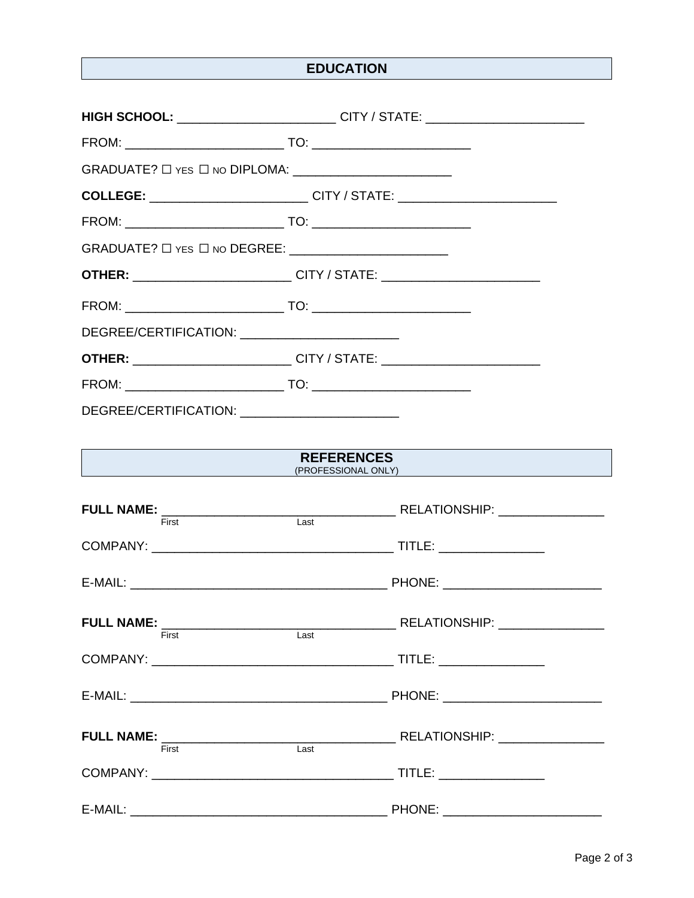# **EDUCATION**

|                                                        | HIGH SCHOOL: __________________________CITY / STATE: ___________________________                                                                                                                                                                    |
|--------------------------------------------------------|-----------------------------------------------------------------------------------------------------------------------------------------------------------------------------------------------------------------------------------------------------|
|                                                        |                                                                                                                                                                                                                                                     |
|                                                        |                                                                                                                                                                                                                                                     |
|                                                        | <b>COLLEGE:</b> ___________________________CITY / STATE: ____________________________                                                                                                                                                               |
|                                                        |                                                                                                                                                                                                                                                     |
| GRADUATE? □ YES □ NO DEGREE: _________________________ |                                                                                                                                                                                                                                                     |
|                                                        | <b>OTHER:</b> __________________________CITY / STATE: _______________________________                                                                                                                                                               |
|                                                        |                                                                                                                                                                                                                                                     |
| DEGREE/CERTIFICATION: ___________________________      |                                                                                                                                                                                                                                                     |
|                                                        | <b>OTHER:</b> ________________________CITY / STATE: _________________________________                                                                                                                                                               |
|                                                        |                                                                                                                                                                                                                                                     |
| DEGREE/CERTIFICATION: ____________________________     |                                                                                                                                                                                                                                                     |
|                                                        |                                                                                                                                                                                                                                                     |
|                                                        | <b>REFERENCES</b><br>Example 2018 (PROFESSIONAL ONLY) And the contract of the contract of the contract of the contract of the contract of the contract of the contract of the contract of the contract of the contract of the contract of the contr |
|                                                        |                                                                                                                                                                                                                                                     |
|                                                        |                                                                                                                                                                                                                                                     |
|                                                        |                                                                                                                                                                                                                                                     |
|                                                        |                                                                                                                                                                                                                                                     |
| First                                                  | Last                                                                                                                                                                                                                                                |
|                                                        |                                                                                                                                                                                                                                                     |
|                                                        |                                                                                                                                                                                                                                                     |
|                                                        |                                                                                                                                                                                                                                                     |
|                                                        |                                                                                                                                                                                                                                                     |
|                                                        |                                                                                                                                                                                                                                                     |